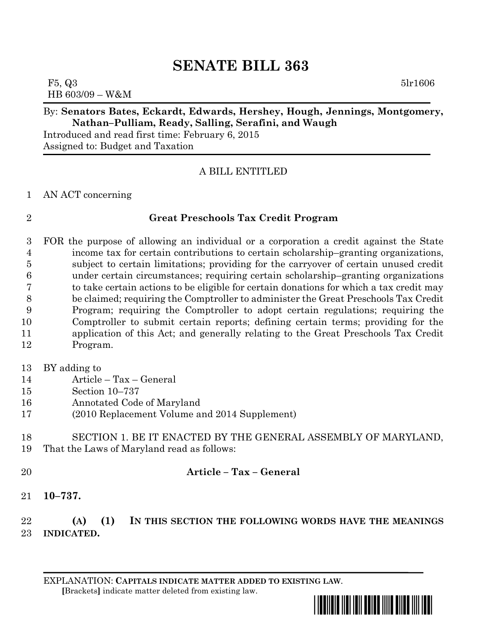# **SENATE BILL 363**

F5,  $Q3$  5lr1606 HB 603/09 – W&M

### By: **Senators Bates, Eckardt, Edwards, Hershey, Hough, Jennings, Montgomery, Nathan–Pulliam, Ready, Salling, Serafini, and Waugh**

Introduced and read first time: February 6, 2015 Assigned to: Budget and Taxation

## A BILL ENTITLED

### AN ACT concerning

## **Great Preschools Tax Credit Program**

 FOR the purpose of allowing an individual or a corporation a credit against the State income tax for certain contributions to certain scholarship–granting organizations, subject to certain limitations; providing for the carryover of certain unused credit under certain circumstances; requiring certain scholarship–granting organizations to take certain actions to be eligible for certain donations for which a tax credit may be claimed; requiring the Comptroller to administer the Great Preschools Tax Credit Program; requiring the Comptroller to adopt certain regulations; requiring the Comptroller to submit certain reports; defining certain terms; providing for the application of this Act; and generally relating to the Great Preschools Tax Credit Program.

- BY adding to
- Article Tax General
- Section 10–737
- Annotated Code of Maryland
- (2010 Replacement Volume and 2014 Supplement)

## SECTION 1. BE IT ENACTED BY THE GENERAL ASSEMBLY OF MARYLAND, That the Laws of Maryland read as follows:

## **Article – Tax – General**

**10–737.**

# **(A) (1) IN THIS SECTION THE FOLLOWING WORDS HAVE THE MEANINGS INDICATED.**

EXPLANATION: **CAPITALS INDICATE MATTER ADDED TO EXISTING LAW**.  **[**Brackets**]** indicate matter deleted from existing law.

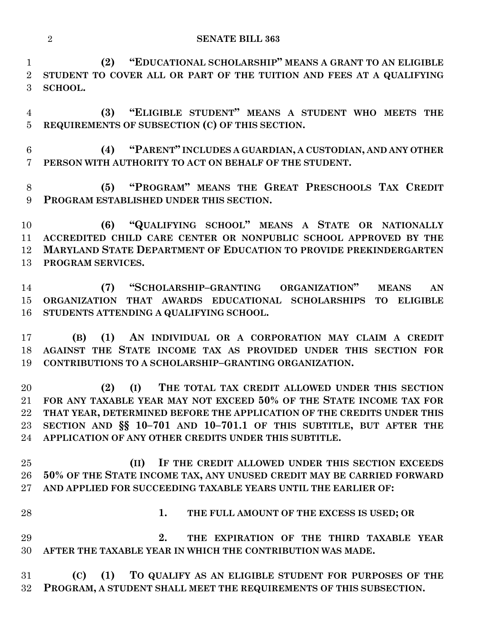**(2) "EDUCATIONAL SCHOLARSHIP" MEANS A GRANT TO AN ELIGIBLE STUDENT TO COVER ALL OR PART OF THE TUITION AND FEES AT A QUALIFYING SCHOOL.**

 **(3) "ELIGIBLE STUDENT" MEANS A STUDENT WHO MEETS THE REQUIREMENTS OF SUBSECTION (C) OF THIS SECTION.**

 **(4) "PARENT" INCLUDES A GUARDIAN, A CUSTODIAN, AND ANY OTHER PERSON WITH AUTHORITY TO ACT ON BEHALF OF THE STUDENT.**

 **(5) "PROGRAM" MEANS THE GREAT PRESCHOOLS TAX CREDIT PROGRAM ESTABLISHED UNDER THIS SECTION.**

 **(6) "QUALIFYING SCHOOL" MEANS A STATE OR NATIONALLY ACCREDITED CHILD CARE CENTER OR NONPUBLIC SCHOOL APPROVED BY THE MARYLAND STATE DEPARTMENT OF EDUCATION TO PROVIDE PREKINDERGARTEN PROGRAM SERVICES.**

 **(7) "SCHOLARSHIP–GRANTING ORGANIZATION" MEANS AN ORGANIZATION THAT AWARDS EDUCATIONAL SCHOLARSHIPS TO ELIGIBLE STUDENTS ATTENDING A QUALIFYING SCHOOL.**

 **(B) (1) AN INDIVIDUAL OR A CORPORATION MAY CLAIM A CREDIT AGAINST THE STATE INCOME TAX AS PROVIDED UNDER THIS SECTION FOR CONTRIBUTIONS TO A SCHOLARSHIP–GRANTING ORGANIZATION.**

 **(2) (I) THE TOTAL TAX CREDIT ALLOWED UNDER THIS SECTION FOR ANY TAXABLE YEAR MAY NOT EXCEED 50% OF THE STATE INCOME TAX FOR THAT YEAR, DETERMINED BEFORE THE APPLICATION OF THE CREDITS UNDER THIS SECTION AND §§ 10–701 AND 10–701.1 OF THIS SUBTITLE, BUT AFTER THE APPLICATION OF ANY OTHER CREDITS UNDER THIS SUBTITLE.**

 **(II) IF THE CREDIT ALLOWED UNDER THIS SECTION EXCEEDS 50% OF THE STATE INCOME TAX, ANY UNUSED CREDIT MAY BE CARRIED FORWARD AND APPLIED FOR SUCCEEDING TAXABLE YEARS UNTIL THE EARLIER OF:**

**1. THE FULL AMOUNT OF THE EXCESS IS USED; OR**

 **2. THE EXPIRATION OF THE THIRD TAXABLE YEAR AFTER THE TAXABLE YEAR IN WHICH THE CONTRIBUTION WAS MADE.**

 **(C) (1) TO QUALIFY AS AN ELIGIBLE STUDENT FOR PURPOSES OF THE PROGRAM, A STUDENT SHALL MEET THE REQUIREMENTS OF THIS SUBSECTION.**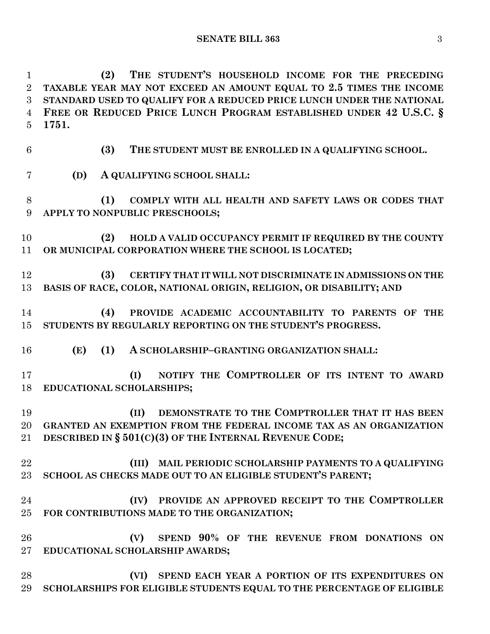**(2) THE STUDENT'S HOUSEHOLD INCOME FOR THE PRECEDING TAXABLE YEAR MAY NOT EXCEED AN AMOUNT EQUAL TO 2.5 TIMES THE INCOME STANDARD USED TO QUALIFY FOR A REDUCED PRICE LUNCH UNDER THE NATIONAL FREE OR REDUCED PRICE LUNCH PROGRAM ESTABLISHED UNDER 42 U.S.C. § 1751.**

- **(3) THE STUDENT MUST BE ENROLLED IN A QUALIFYING SCHOOL.**
- **(D) A QUALIFYING SCHOOL SHALL:**
- **(1) COMPLY WITH ALL HEALTH AND SAFETY LAWS OR CODES THAT APPLY TO NONPUBLIC PRESCHOOLS;**
- **(2) HOLD A VALID OCCUPANCY PERMIT IF REQUIRED BY THE COUNTY OR MUNICIPAL CORPORATION WHERE THE SCHOOL IS LOCATED;**
- **(3) CERTIFY THAT IT WILL NOT DISCRIMINATE IN ADMISSIONS ON THE BASIS OF RACE, COLOR, NATIONAL ORIGIN, RELIGION, OR DISABILITY; AND**
- **(4) PROVIDE ACADEMIC ACCOUNTABILITY TO PARENTS OF THE STUDENTS BY REGULARLY REPORTING ON THE STUDENT'S PROGRESS.**
- **(E) (1) A SCHOLARSHIP–GRANTING ORGANIZATION SHALL:**
- **(I) NOTIFY THE COMPTROLLER OF ITS INTENT TO AWARD EDUCATIONAL SCHOLARSHIPS;**
- **(II) DEMONSTRATE TO THE COMPTROLLER THAT IT HAS BEEN GRANTED AN EXEMPTION FROM THE FEDERAL INCOME TAX AS AN ORGANIZATION DESCRIBED IN § 501(C)(3) OF THE INTERNAL REVENUE CODE;**
- **(III) MAIL PERIODIC SCHOLARSHIP PAYMENTS TO A QUALIFYING SCHOOL AS CHECKS MADE OUT TO AN ELIGIBLE STUDENT'S PARENT;**
- **(IV) PROVIDE AN APPROVED RECEIPT TO THE COMPTROLLER FOR CONTRIBUTIONS MADE TO THE ORGANIZATION;**
- **(V) SPEND 90% OF THE REVENUE FROM DONATIONS ON EDUCATIONAL SCHOLARSHIP AWARDS;**
- **(VI) SPEND EACH YEAR A PORTION OF ITS EXPENDITURES ON SCHOLARSHIPS FOR ELIGIBLE STUDENTS EQUAL TO THE PERCENTAGE OF ELIGIBLE**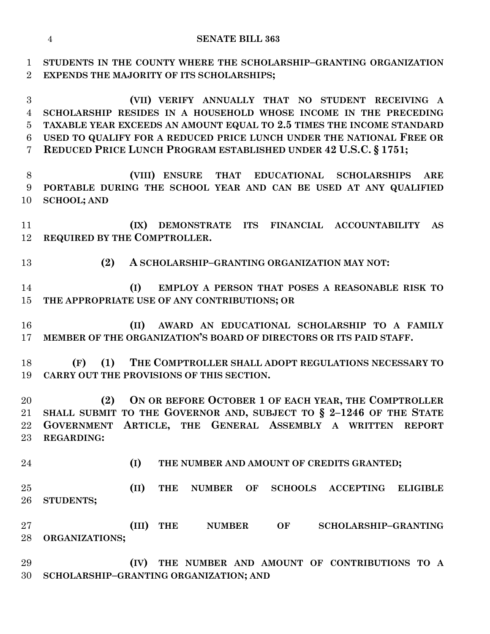**STUDENTS IN THE COUNTY WHERE THE SCHOLARSHIP–GRANTING ORGANIZATION EXPENDS THE MAJORITY OF ITS SCHOLARSHIPS;**

 **(VII) VERIFY ANNUALLY THAT NO STUDENT RECEIVING A SCHOLARSHIP RESIDES IN A HOUSEHOLD WHOSE INCOME IN THE PRECEDING TAXABLE YEAR EXCEEDS AN AMOUNT EQUAL TO 2.5 TIMES THE INCOME STANDARD USED TO QUALIFY FOR A REDUCED PRICE LUNCH UNDER THE NATIONAL FREE OR REDUCED PRICE LUNCH PROGRAM ESTABLISHED UNDER 42 U.S.C. § 1751;**

 **(VIII) ENSURE THAT EDUCATIONAL SCHOLARSHIPS ARE PORTABLE DURING THE SCHOOL YEAR AND CAN BE USED AT ANY QUALIFIED SCHOOL; AND**

 **(IX) DEMONSTRATE ITS FINANCIAL ACCOUNTABILITY AS REQUIRED BY THE COMPTROLLER.**

**(2) A SCHOLARSHIP–GRANTING ORGANIZATION MAY NOT:**

 **(I) EMPLOY A PERSON THAT POSES A REASONABLE RISK TO THE APPROPRIATE USE OF ANY CONTRIBUTIONS; OR**

 **(II) AWARD AN EDUCATIONAL SCHOLARSHIP TO A FAMILY MEMBER OF THE ORGANIZATION'S BOARD OF DIRECTORS OR ITS PAID STAFF.**

 **(F) (1) THE COMPTROLLER SHALL ADOPT REGULATIONS NECESSARY TO CARRY OUT THE PROVISIONS OF THIS SECTION.**

 **(2) ON OR BEFORE OCTOBER 1 OF EACH YEAR, THE COMPTROLLER SHALL SUBMIT TO THE GOVERNOR AND, SUBJECT TO § 2–1246 OF THE STATE GOVERNMENT ARTICLE, THE GENERAL ASSEMBLY A WRITTEN REPORT REGARDING:**

**(I) THE NUMBER AND AMOUNT OF CREDITS GRANTED;**

 **(II) THE NUMBER OF SCHOOLS ACCEPTING ELIGIBLE STUDENTS;**

 **(III) THE NUMBER OF SCHOLARSHIP–GRANTING ORGANIZATIONS;**

 **(IV) THE NUMBER AND AMOUNT OF CONTRIBUTIONS TO A SCHOLARSHIP–GRANTING ORGANIZATION; AND**